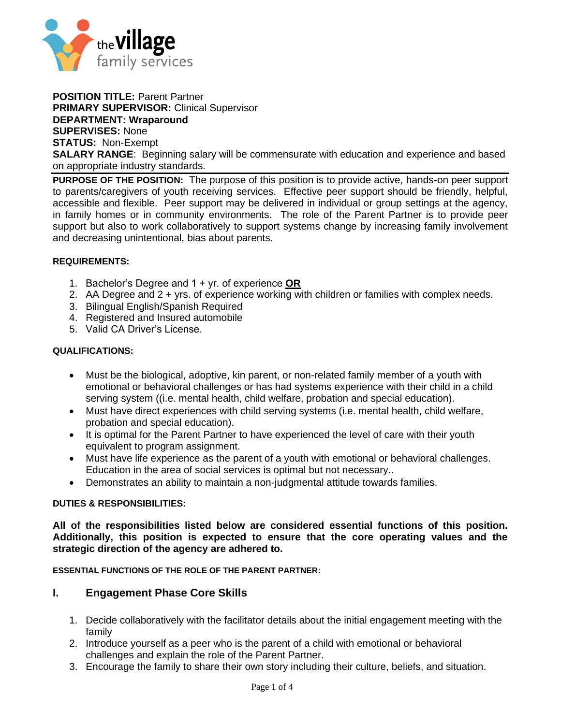

**POSITION TITLE:** Parent Partner **PRIMARY SUPERVISOR:** Clinical Supervisor **DEPARTMENT: Wraparound SUPERVISES:** None **STATUS:** Non-Exempt **SALARY RANGE:** Beginning salary will be commensurate with education and experience and based on appropriate industry standards.

**PURPOSE OF THE POSITION:** The purpose of this position is to provide active, hands-on peer support to parents/caregivers of youth receiving services. Effective peer support should be friendly, helpful, accessible and flexible. Peer support may be delivered in individual or group settings at the agency, in family homes or in community environments. The role of the Parent Partner is to provide peer support but also to work collaboratively to support systems change by increasing family involvement and decreasing unintentional, bias about parents.

#### **REQUIREMENTS:**

- 1. Bachelor's Degree and 1 + yr. of experience **OR**
- 2. AA Degree and 2 + yrs. of experience working with children or families with complex needs.
- 3. Bilingual English/Spanish Required
- 4. Registered and Insured automobile
- 5. Valid CA Driver's License.

#### **QUALIFICATIONS:**

- Must be the biological, adoptive, kin parent, or non-related family member of a youth with emotional or behavioral challenges or has had systems experience with their child in a child serving system ((i.e. mental health, child welfare, probation and special education).
- Must have direct experiences with child serving systems (i.e. mental health, child welfare, probation and special education).
- It is optimal for the Parent Partner to have experienced the level of care with their youth equivalent to program assignment.
- Must have life experience as the parent of a youth with emotional or behavioral challenges. Education in the area of social services is optimal but not necessary..
- Demonstrates an ability to maintain a non-judgmental attitude towards families.

#### **DUTIES & RESPONSIBILITIES:**

**All of the responsibilities listed below are considered essential functions of this position. Additionally, this position is expected to ensure that the core operating values and the strategic direction of the agency are adhered to.** 

**ESSENTIAL FUNCTIONS OF THE ROLE OF THE PARENT PARTNER:**

### **I. Engagement Phase Core Skills**

- 1. Decide collaboratively with the facilitator details about the initial engagement meeting with the family
- 2. Introduce yourself as a peer who is the parent of a child with emotional or behavioral challenges and explain the role of the Parent Partner.
- 3. Encourage the family to share their own story including their culture, beliefs, and situation.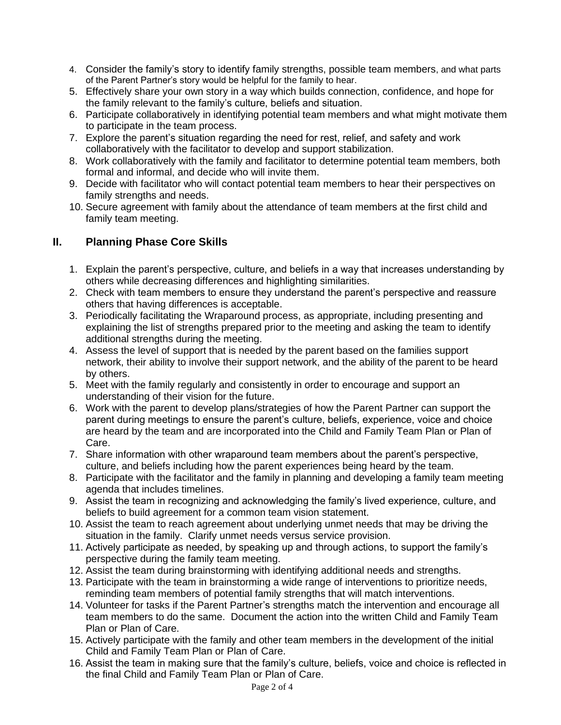- 4. Consider the family's story to identify family strengths, possible team members, and what parts of the Parent Partner's story would be helpful for the family to hear.
- 5. Effectively share your own story in a way which builds connection, confidence, and hope for the family relevant to the family's culture, beliefs and situation.
- 6. Participate collaboratively in identifying potential team members and what might motivate them to participate in the team process.
- 7. Explore the parent's situation regarding the need for rest, relief, and safety and work collaboratively with the facilitator to develop and support stabilization.
- 8. Work collaboratively with the family and facilitator to determine potential team members, both formal and informal, and decide who will invite them.
- 9. Decide with facilitator who will contact potential team members to hear their perspectives on family strengths and needs.
- 10. Secure agreement with family about the attendance of team members at the first child and family team meeting.

# **II. Planning Phase Core Skills**

- 1. Explain the parent's perspective, culture, and beliefs in a way that increases understanding by others while decreasing differences and highlighting similarities.
- 2. Check with team members to ensure they understand the parent's perspective and reassure others that having differences is acceptable.
- 3. Periodically facilitating the Wraparound process, as appropriate, including presenting and explaining the list of strengths prepared prior to the meeting and asking the team to identify additional strengths during the meeting.
- 4. Assess the level of support that is needed by the parent based on the families support network, their ability to involve their support network, and the ability of the parent to be heard by others.
- 5. Meet with the family regularly and consistently in order to encourage and support an understanding of their vision for the future.
- 6. Work with the parent to develop plans/strategies of how the Parent Partner can support the parent during meetings to ensure the parent's culture, beliefs, experience, voice and choice are heard by the team and are incorporated into the Child and Family Team Plan or Plan of Care.
- 7. Share information with other wraparound team members about the parent's perspective, culture, and beliefs including how the parent experiences being heard by the team.
- 8. Participate with the facilitator and the family in planning and developing a family team meeting agenda that includes timelines.
- 9. Assist the team in recognizing and acknowledging the family's lived experience, culture, and beliefs to build agreement for a common team vision statement.
- 10. Assist the team to reach agreement about underlying unmet needs that may be driving the situation in the family. Clarify unmet needs versus service provision.
- 11. Actively participate as needed, by speaking up and through actions, to support the family's perspective during the family team meeting.
- 12. Assist the team during brainstorming with identifying additional needs and strengths.
- 13. Participate with the team in brainstorming a wide range of interventions to prioritize needs, reminding team members of potential family strengths that will match interventions.
- 14. Volunteer for tasks if the Parent Partner's strengths match the intervention and encourage all team members to do the same. Document the action into the written Child and Family Team Plan or Plan of Care.
- 15. Actively participate with the family and other team members in the development of the initial Child and Family Team Plan or Plan of Care.
- 16. Assist the team in making sure that the family's culture, beliefs, voice and choice is reflected in the final Child and Family Team Plan or Plan of Care.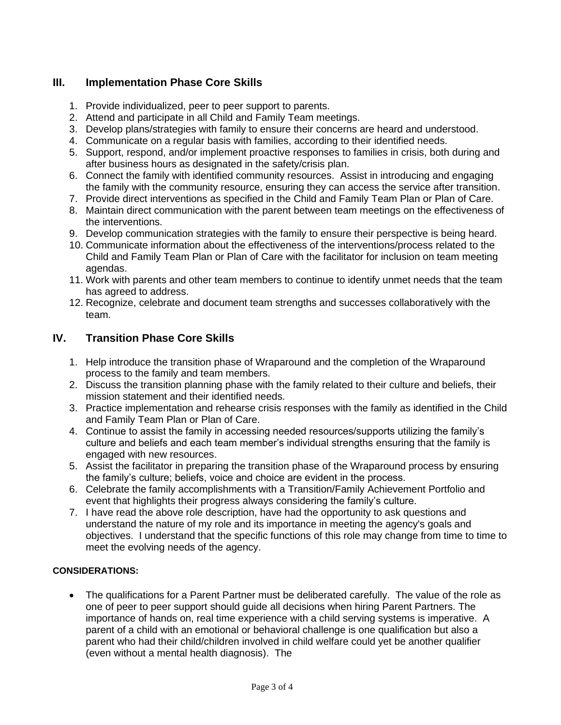# **III. Implementation Phase Core Skills**

- 1. Provide individualized, peer to peer support to parents.
- 2. Attend and participate in all Child and Family Team meetings.
- 3. Develop plans/strategies with family to ensure their concerns are heard and understood.
- 4. Communicate on a regular basis with families, according to their identified needs.
- 5. Support, respond, and/or implement proactive responses to families in crisis, both during and after business hours as designated in the safety/crisis plan.
- 6. Connect the family with identified community resources. Assist in introducing and engaging the family with the community resource, ensuring they can access the service after transition.
- 7. Provide direct interventions as specified in the Child and Family Team Plan or Plan of Care.
- 8. Maintain direct communication with the parent between team meetings on the effectiveness of the interventions.
- 9. Develop communication strategies with the family to ensure their perspective is being heard.
- 10. Communicate information about the effectiveness of the interventions/process related to the Child and Family Team Plan or Plan of Care with the facilitator for inclusion on team meeting agendas.
- 11. Work with parents and other team members to continue to identify unmet needs that the team has agreed to address.
- 12. Recognize, celebrate and document team strengths and successes collaboratively with the team.

### **IV. Transition Phase Core Skills**

- 1. Help introduce the transition phase of Wraparound and the completion of the Wraparound process to the family and team members.
- 2. Discuss the transition planning phase with the family related to their culture and beliefs, their mission statement and their identified needs.
- 3. Practice implementation and rehearse crisis responses with the family as identified in the Child and Family Team Plan or Plan of Care.
- 4. Continue to assist the family in accessing needed resources/supports utilizing the family's culture and beliefs and each team member's individual strengths ensuring that the family is engaged with new resources.
- 5. Assist the facilitator in preparing the transition phase of the Wraparound process by ensuring the family's culture; beliefs, voice and choice are evident in the process.
- 6. Celebrate the family accomplishments with a Transition/Family Achievement Portfolio and event that highlights their progress always considering the family's culture.
- 7. I have read the above role description, have had the opportunity to ask questions and understand the nature of my role and its importance in meeting the agency's goals and objectives. I understand that the specific functions of this role may change from time to time to meet the evolving needs of the agency.

### **CONSIDERATIONS:**

• The qualifications for a Parent Partner must be deliberated carefully. The value of the role as one of peer to peer support should guide all decisions when hiring Parent Partners. The importance of hands on, real time experience with a child serving systems is imperative. A parent of a child with an emotional or behavioral challenge is one qualification but also a parent who had their child/children involved in child welfare could yet be another qualifier (even without a mental health diagnosis). The